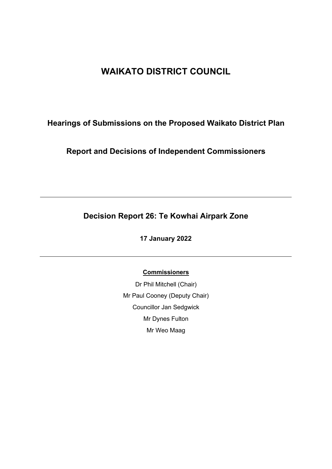# **WAIKATO DISTRICT COUNCIL**

# **Hearings of Submissions on the Proposed Waikato District Plan**

**Report and Decisions of Independent Commissioners**

# **Decision Report 26: Te Kowhai Airpark Zone**

**17 January 2022**

**Commissioners**

Dr Phil Mitchell (Chair) Mr Paul Cooney (Deputy Chair) Councillor Jan Sedgwick Mr Dynes Fulton Mr Weo Maag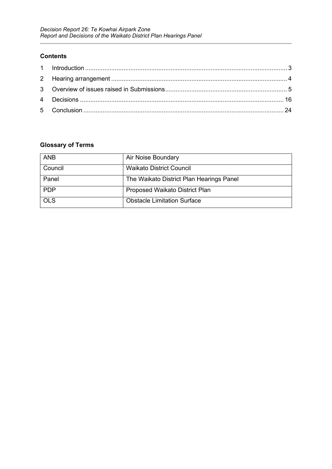#### **Contents**

# **Glossary of Terms**

| <b>ANB</b> | Air Noise Boundary                       |
|------------|------------------------------------------|
| Council    | <b>Waikato District Council</b>          |
| Panel      | The Waikato District Plan Hearings Panel |
| <b>PDP</b> | Proposed Waikato District Plan           |
| <b>OLS</b> | <b>Obstacle Limitation Surface</b>       |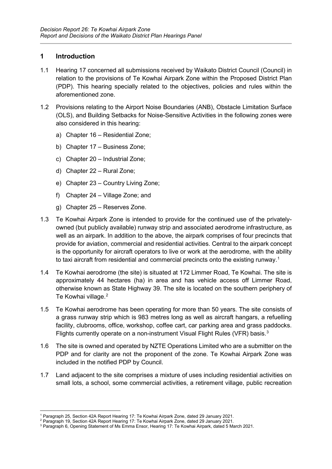# <span id="page-2-0"></span>**1 Introduction**

- 1.1 Hearing 17 concerned all submissions received by Waikato District Council (Council) in relation to the provisions of Te Kowhai Airpark Zone within the Proposed District Plan (PDP). This hearing specially related to the objectives, policies and rules within the aforementioned zone.
- 1.2 Provisions relating to the Airport Noise Boundaries (ANB), Obstacle Limitation Surface (OLS), and Building Setbacks for Noise-Sensitive Activities in the following zones were also considered in this hearing:
	- a) Chapter 16 Residential Zone;
	- b) Chapter 17 Business Zone;
	- c) Chapter 20 Industrial Zone;
	- d) Chapter 22 Rural Zone;
	- e) Chapter 23 Country Living Zone;
	- f) Chapter 24 Village Zone; and
	- g) Chapter 25 Reserves Zone.
- 1.3 Te Kowhai Airpark Zone is intended to provide for the continued use of the privatelyowned (but publicly available) runway strip and associated aerodrome infrastructure, as well as an airpark. In addition to the above, the airpark comprises of four precincts that provide for aviation, commercial and residential activities. Central to the airpark concept is the opportunity for aircraft operators to live or work at the aerodrome, with the ability to taxi aircraft from residential and commercial precincts onto the existing runway.<sup>[1](#page-2-1)</sup>
- 1.4 Te Kowhai aerodrome (the site) is situated at 172 Limmer Road, Te Kowhai. The site is approximately 44 hectares (ha) in area and has vehicle access off Limmer Road, otherwise known as State Highway 39. The site is located on the southern periphery of Te Kowhai village.<sup>[2](#page-2-2)</sup>
- 1.5 Te Kowhai aerodrome has been operating for more than 50 years. The site consists of a grass runway strip which is 983 metres long as well as aircraft hangars, a refuelling facility, clubrooms, office, workshop, coffee cart, car parking area and grass paddocks. Flights currently operate on a non-instrument Visual Flight Rules (VFR) basis.<sup>[3](#page-2-3)</sup>
- 1.6 The site is owned and operated by NZTE Operations Limited who are a submitter on the PDP and for clarity are not the proponent of the zone. Te Kowhai Airpark Zone was included in the notified PDP by Council.
- 1.7 Land adjacent to the site comprises a mixture of uses including residential activities on small lots, a school, some commercial activities, a retirement village, public recreation

<sup>1</sup> Paragraph 25, Section 42A Report Hearing 17: Te Kowhai Airpark Zone, dated 29 January 2021.

<span id="page-2-2"></span><span id="page-2-1"></span><sup>2</sup> Paragraph 19, Section 42A Report Hearing 17: Te Kowhai Airpark Zone, dated 29 January 2021.

<span id="page-2-3"></span><sup>3</sup> Paragraph 6, Opening Statement of Ms Emma Ensor, Hearing 17: Te Kowhai Airpark, dated 5 March 2021.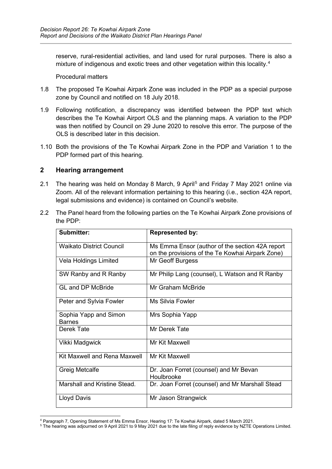reserve, rural-residential activities, and land used for rural purposes. There is also a mixture of indigenous and exotic trees and other vegetation within this locality.<sup>[4](#page-3-1)</sup>

Procedural matters

- 1.8 The proposed Te Kowhai Airpark Zone was included in the PDP as a special purpose zone by Council and notified on 18 July 2018.
- 1.9 Following notification, a discrepancy was identified between the PDP text which describes the Te Kowhai Airport OLS and the planning maps. A variation to the PDP was then notified by Council on 29 June 2020 to resolve this error. The purpose of the OLS is described later in this decision.
- 1.10 Both the provisions of the Te Kowhai Airpark Zone in the PDP and Variation 1 to the PDP formed part of this hearing.

## <span id="page-3-0"></span>**2 Hearing arrangement**

- 2.1 The hearing was held on Monday 8 March, 9 April<sup>[5](#page-3-2)</sup> and Friday 7 May 2021 online via Zoom. All of the relevant information pertaining to this hearing (i.e., section 42A report, legal submissions and evidence) is contained on Council's website.
- 2.2 The Panel heard from the following parties on the Te Kowhai Airpark Zone provisions of the PDP:

| <b>Submitter:</b>                      | <b>Represented by:</b>                                                                              |  |
|----------------------------------------|-----------------------------------------------------------------------------------------------------|--|
| <b>Waikato District Council</b>        | Ms Emma Ensor (author of the section 42A report<br>on the provisions of the Te Kowhai Airpark Zone) |  |
| Vela Holdings Limited                  | Mr Geoff Burgess                                                                                    |  |
| SW Ranby and R Ranby                   | Mr Philip Lang (counsel), L Watson and R Ranby                                                      |  |
| <b>GL and DP McBride</b>               | Mr Graham McBride                                                                                   |  |
| Peter and Sylvia Fowler                | Ms Silvia Fowler                                                                                    |  |
| Sophia Yapp and Simon<br><b>Barnes</b> | Mrs Sophia Yapp                                                                                     |  |
| Derek Tate                             | Mr Derek Tate                                                                                       |  |
| Vikki Madgwick                         | Mr Kit Maxwell                                                                                      |  |
| Kit Maxwell and Rena Maxwell           | Mr Kit Maxwell                                                                                      |  |
| <b>Greig Metcalfe</b>                  | Dr. Joan Forret (counsel) and Mr Bevan<br>Houlbrooke                                                |  |
| Marshall and Kristine Stead.           | Dr. Joan Forret (counsel) and Mr Marshall Stead                                                     |  |
| Lloyd Davis                            | Mr Jason Strangwick                                                                                 |  |

<span id="page-3-1"></span><sup>4</sup> Paragraph 7, Opening Statement of Ms Emma Ensor, Hearing 17: Te Kowhai Airpark, dated 5 March 2021.

<span id="page-3-2"></span><sup>5</sup> The hearing was adjourned on 9 April 2021 to 9 May 2021 due to the late filing of reply evidence by NZTE Operations Limited.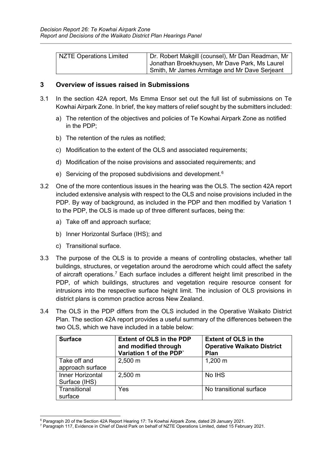| NZTE Operations Limited | Dr. Robert Makgill (counsel), Mr Dan Readman, Mr<br>Jonathan Broekhuysen, Mr Dave Park, Ms Laurel |
|-------------------------|---------------------------------------------------------------------------------------------------|
|                         | Smith, Mr James Armitage and Mr Dave Serjeant                                                     |

#### <span id="page-4-0"></span>**3 Overview of issues raised in Submissions**

- 3.1 In the section 42A report, Ms Emma Ensor set out the full list of submissions on Te Kowhai Airpark Zone. In brief, the key matters of relief sought by the submitters included:
	- a) The retention of the objectives and policies of Te Kowhai Airpark Zone as notified in the PDP;
	- b) The retention of the rules as notified;
	- c) Modification to the extent of the OLS and associated requirements;
	- d) Modification of the noise provisions and associated requirements; and
	- e) Servicing of the proposed subdivisions and development.<sup>[6](#page-4-1)</sup>
- 3.2 One of the more contentious issues in the hearing was the OLS. The section 42A report included extensive analysis with respect to the OLS and noise provisions included in the PDP. By way of background, as included in the PDP and then modified by Variation 1 to the PDP, the OLS is made up of three different surfaces, being the:
	- a) Take off and approach surface;
	- b) Inner Horizontal Surface (IHS); and
	- c) Transitional surface.
- 3.3 The purpose of the OLS is to provide a means of controlling obstacles, whether tall buildings, structures, or vegetation around the aerodrome which could affect the safety of aircraft operations.[7](#page-4-2) Each surface includes a different height limit prescribed in the PDP, of which buildings, structures and vegetation require resource consent for intrusions into the respective surface height limit. The inclusion of OLS provisions in district plans is common practice across New Zealand.
- 3.4 The OLS in the PDP differs from the OLS included in the Operative Waikato District Plan. The section 42A report provides a useful summary of the differences between the two OLS, which we have included in a table below:

| <b>Surface</b>                    | <b>Extent of OLS in the PDP</b><br>and modified through<br>Variation 1 of the PDP' | <b>Extent of OLS in the</b><br><b>Operative Waikato District</b><br><b>Plan</b> |
|-----------------------------------|------------------------------------------------------------------------------------|---------------------------------------------------------------------------------|
| Take off and<br>approach surface  | $2,500 \; \text{m}$                                                                | $1,200 \; m$                                                                    |
| Inner Horizontal<br>Surface (IHS) | $2,500 \; m$                                                                       | No IHS                                                                          |
| Transitional<br>surface           | Yes                                                                                | No transitional surface                                                         |

<span id="page-4-1"></span><sup>6</sup> Paragraph 20 of the Section 42A Report Hearing 17: Te Kowhai Airpark Zone, dated 29 January 2021.

<span id="page-4-2"></span><sup>7</sup> Paragraph 117, Evidence in Chief of David Park on behalf of NZTE Operations Limited, dated 15 February 2021.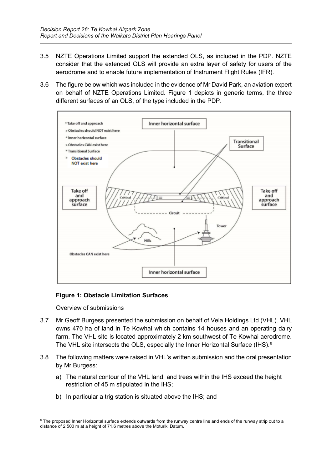- 3.5 NZTE Operations Limited support the extended OLS, as included in the PDP. NZTE consider that the extended OLS will provide an extra layer of safety for users of the aerodrome and to enable future implementation of Instrument Flight Rules (IFR).
- 3.6 The figure below which was included in the evidence of Mr David Park, an aviation expert on behalf of NZTE Operations Limited. Figure 1 depicts in generic terms, the three different surfaces of an OLS, of the type included in the PDP.



# **Figure 1: Obstacle Limitation Surfaces**

Overview of submissions

- 3.7 Mr Geoff Burgess presented the submission on behalf of Vela Holdings Ltd (VHL). VHL owns 470 ha of land in Te Kowhai which contains 14 houses and an operating dairy farm. The VHL site is located approximately 2 km southwest of Te Kowhai aerodrome. The VHL site intersects the OLS, especially the Inner Horizontal Surface (IHS). $^8$  $^8$
- 3.8 The following matters were raised in VHL's written submission and the oral presentation by Mr Burgess:
	- a) The natural contour of the VHL land, and trees within the IHS exceed the height restriction of 45 m stipulated in the IHS;
	- b) In particular a trig station is situated above the IHS; and

<span id="page-5-0"></span><sup>&</sup>lt;sup>8</sup> The proposed Inner Horizontal surface extends outwards from the runway centre line and ends of the runway strip out to a distance of 2,500 m at a height of 71.6 metres above the Moturiki Datum.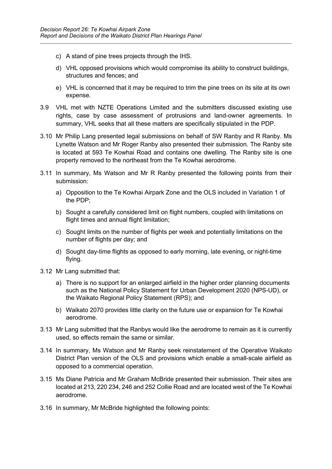- c) A stand of pine trees projects through the IHS.
- d) VHL opposed provisions which would compromise its ability to construct buildings, structures and fences; and
- e) VHL is concerned that it may be required to trim the pine trees on its site at its own expense.
- 3.9 VHL met with NZTE Operations Limited and the submitters discussed existing use rights, case by case assessment of protrusions and land-owner agreements. In summary, VHL seeks that all these matters are specifically stipulated in the PDP.
- 3.10 Mr Philip Lang presented legal submissions on behalf of SW Ranby and R Ranby. Ms Lynette Watson and Mr Roger Ranby also presented their submission. The Ranby site is located at 593 Te Kowhai Road and contains one dwelling. The Ranby site is one property removed to the northeast from the Te Kowhai aerodrome.
- 3.11 In summary, Ms Watson and Mr R Ranby presented the following points from their submission:
	- a) Opposition to the Te Kowhai Airpark Zone and the OLS included in Variation 1 of the PDP;
	- b) Sought a carefully considered limit on flight numbers, coupled with limitations on flight times and annual flight limitation;
	- c) Sought limits on the number of flights per week and potentially limitations on the number of flights per day; and
	- d) Sought day-time flights as opposed to early morning, late evening, or night-time flying.
- 3.12 Mr Lang submitted that:
	- a) There is no support for an enlarged airfield in the higher order planning documents such as the National Policy Statement for Urban Development 2020 (NPS-UD), or the Waikato Regional Policy Statement (RPS); and
	- b) Waikato 2070 provides little clarity on the future use or expansion for Te Kowhai aerodrome.
- 3.13 Mr Lang submitted that the Ranbys would like the aerodrome to remain as it is currently used, so effects remain the same or similar.
- 3.14 In summary, Ms Watson and Mr Ranby seek reinstatement of the Operative Waikato District Plan version of the OLS and provisions which enable a small-scale airfield as opposed to a commercial operation.
- 3.15 Ms Diane Patricia and Mr Graham McBride presented their submission. Their sites are located at 213, 220 234, 246 and 252 Collie Road and are located west of the Te Kowhai aerodrome.
- 3.16 In summary, Mr McBride highlighted the following points: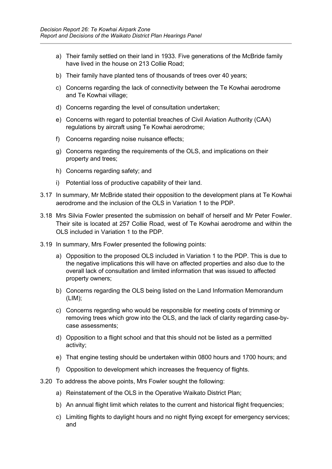- a) Their family settled on their land in 1933. Five generations of the McBride family have lived in the house on 213 Collie Road;
- b) Their family have planted tens of thousands of trees over 40 years;
- c) Concerns regarding the lack of connectivity between the Te Kowhai aerodrome and Te Kowhai village;
- d) Concerns regarding the level of consultation undertaken;
- e) Concerns with regard to potential breaches of Civil Aviation Authority (CAA) regulations by aircraft using Te Kowhai aerodrome;
- f) Concerns regarding noise nuisance effects;
- g) Concerns regarding the requirements of the OLS, and implications on their property and trees;
- h) Concerns regarding safety; and
- i) Potential loss of productive capability of their land.
- 3.17 In summary, Mr McBride stated their opposition to the development plans at Te Kowhai aerodrome and the inclusion of the OLS in Variation 1 to the PDP.
- 3.18 Mrs Silvia Fowler presented the submission on behalf of herself and Mr Peter Fowler. Their site is located at 257 Collie Road, west of Te Kowhai aerodrome and within the OLS included in Variation 1 to the PDP.
- 3.19 In summary, Mrs Fowler presented the following points:
	- a) Opposition to the proposed OLS included in Variation 1 to the PDP. This is due to the negative implications this will have on affected properties and also due to the overall lack of consultation and limited information that was issued to affected property owners;
	- b) Concerns regarding the OLS being listed on the Land Information Memorandum (LIM);
	- c) Concerns regarding who would be responsible for meeting costs of trimming or removing trees which grow into the OLS, and the lack of clarity regarding case-bycase assessments;
	- d) Opposition to a flight school and that this should not be listed as a permitted activity;
	- e) That engine testing should be undertaken within 0800 hours and 1700 hours; and
	- f) Opposition to development which increases the frequency of flights.
- 3.20 To address the above points, Mrs Fowler sought the following:
	- a) Reinstatement of the OLS in the Operative Waikato District Plan;
	- b) An annual flight limit which relates to the current and historical flight frequencies;
	- c) Limiting flights to daylight hours and no night flying except for emergency services; and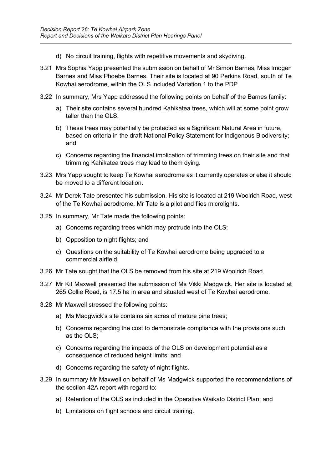- d) No circuit training, flights with repetitive movements and skydiving.
- 3.21 Mrs Sophia Yapp presented the submission on behalf of Mr Simon Barnes, Miss Imogen Barnes and Miss Phoebe Barnes. Their site is located at 90 Perkins Road, south of Te Kowhai aerodrome, within the OLS included Variation 1 to the PDP.
- 3.22 In summary, Mrs Yapp addressed the following points on behalf of the Barnes family:
	- a) Their site contains several hundred Kahikatea trees, which will at some point grow taller than the OLS;
	- b) These trees may potentially be protected as a Significant Natural Area in future, based on criteria in the draft National Policy Statement for Indigenous Biodiversity; and
	- c) Concerns regarding the financial implication of trimming trees on their site and that trimming Kahikatea trees may lead to them dying.
- 3.23 Mrs Yapp sought to keep Te Kowhai aerodrome as it currently operates or else it should be moved to a different location.
- 3.24 Mr Derek Tate presented his submission. His site is located at 219 Woolrich Road, west of the Te Kowhai aerodrome. Mr Tate is a pilot and flies microlights.
- 3.25 In summary, Mr Tate made the following points:
	- a) Concerns regarding trees which may protrude into the OLS;
	- b) Opposition to night flights; and
	- c) Questions on the suitability of Te Kowhai aerodrome being upgraded to a commercial airfield.
- 3.26 Mr Tate sought that the OLS be removed from his site at 219 Woolrich Road.
- 3.27 Mr Kit Maxwell presented the submission of Ms Vikki Madgwick. Her site is located at 265 Collie Road, is 17.5 ha in area and situated west of Te Kowhai aerodrome.
- 3.28 Mr Maxwell stressed the following points:
	- a) Ms Madgwick's site contains six acres of mature pine trees;
	- b) Concerns regarding the cost to demonstrate compliance with the provisions such as the OLS;
	- c) Concerns regarding the impacts of the OLS on development potential as a consequence of reduced height limits; and
	- d) Concerns regarding the safety of night flights.
- 3.29 In summary Mr Maxwell on behalf of Ms Madgwick supported the recommendations of the section 42A report with regard to:
	- a) Retention of the OLS as included in the Operative Waikato District Plan; and
	- b) Limitations on flight schools and circuit training.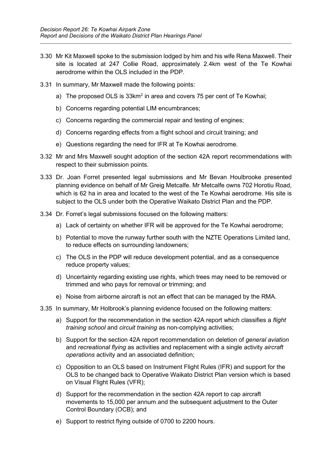- 3.30 Mr Kit Maxwell spoke to the submission lodged by him and his wife Rena Maxwell. Their site is located at 247 Collie Road, approximately 2.4km west of the Te Kowhai aerodrome within the OLS included in the PDP.
- 3.31 In summary, Mr Maxwell made the following points:
	- a) The proposed OLS is 33km<sup>2</sup> in area and covers 75 per cent of Te Kowhai;
	- b) Concerns regarding potential LIM encumbrances;
	- c) Concerns regarding the commercial repair and testing of engines;
	- d) Concerns regarding effects from a flight school and circuit training; and
	- e) Questions regarding the need for IFR at Te Kowhai aerodrome.
- 3.32 Mr and Mrs Maxwell sought adoption of the section 42A report recommendations with respect to their submission points.
- 3.33 Dr. Joan Forret presented legal submissions and Mr Bevan Houlbrooke presented planning evidence on behalf of Mr Greig Metcalfe. Mr Metcalfe owns 702 Horotiu Road, which is 62 ha in area and located to the west of the Te Kowhai aerodrome. His site is subject to the OLS under both the Operative Waikato District Plan and the PDP.
- 3.34 Dr. Forret's legal submissions focused on the following matters:
	- a) Lack of certainty on whether IFR will be approved for the Te Kowhai aerodrome;
	- b) Potential to move the runway further south with the NZTE Operations Limited land, to reduce effects on surrounding landowners;
	- c) The OLS in the PDP will reduce development potential, and as a consequence reduce property values;
	- d) Uncertainty regarding existing use rights, which trees may need to be removed or trimmed and who pays for removal or trimming; and
	- e) Noise from airborne aircraft is not an effect that can be managed by the RMA.
- 3.35 In summary, Mr Holbrook's planning evidence focused on the following matters:
	- a) Support for the recommendation in the section 42A report which classifies a *flight training school* and *circuit training* as non-complying activities;
	- b) Support for the section 42A report recommendation on deletion of *general aviation* and *recreational flying* as activities and replacement with a single activity *aircraft operations* activity and an associated definition;
	- c) Opposition to an OLS based on Instrument Flight Rules (IFR) and support for the OLS to be changed back to Operative Waikato District Plan version which is based on Visual Flight Rules (VFR);
	- d) Support for the recommendation in the section 42A report to cap aircraft movements to 15,000 per annum and the subsequent adjustment to the Outer Control Boundary (OCB); and
	- e) Support to restrict flying outside of 0700 to 2200 hours.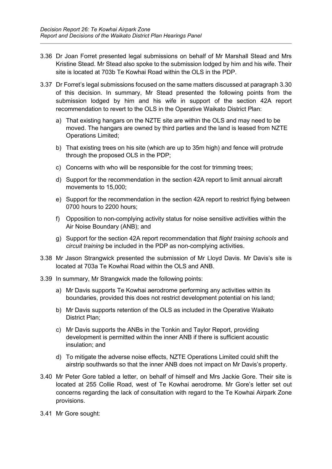- 3.36 Dr Joan Forret presented legal submissions on behalf of Mr Marshall Stead and Mrs Kristine Stead. Mr Stead also spoke to the submission lodged by him and his wife. Their site is located at 703b Te Kowhai Road within the OLS in the PDP.
- 3.37 Dr Forret's legal submissions focused on the same matters discussed at paragraph 3.30 of this decision. In summary, Mr Stead presented the following points from the submission lodged by him and his wife in support of the section 42A report recommendation to revert to the OLS in the Operative Waikato District Plan:
	- a) That existing hangars on the NZTE site are within the OLS and may need to be moved. The hangars are owned by third parties and the land is leased from NZTE Operations Limited;
	- b) That existing trees on his site (which are up to 35m high) and fence will protrude through the proposed OLS in the PDP;
	- c) Concerns with who will be responsible for the cost for trimming trees;
	- d) Support for the recommendation in the section 42A report to limit annual aircraft movements to 15,000;
	- e) Support for the recommendation in the section 42A report to restrict flying between 0700 hours to 2200 hours;
	- f) Opposition to non-complying activity status for noise sensitive activities within the Air Noise Boundary (ANB); and
	- g) Support for the section 42A report recommendation that *flight training schools* and *circuit training* be included in the PDP as non-complying activities.
- 3.38 Mr Jason Strangwick presented the submission of Mr Lloyd Davis. Mr Davis's site is located at 703a Te Kowhai Road within the OLS and ANB.
- 3.39 In summary, Mr Strangwick made the following points:
	- a) Mr Davis supports Te Kowhai aerodrome performing any activities within its boundaries, provided this does not restrict development potential on his land;
	- b) Mr Davis supports retention of the OLS as included in the Operative Waikato District Plan;
	- c) Mr Davis supports the ANBs in the Tonkin and Taylor Report, providing development is permitted within the inner ANB if there is sufficient acoustic insulation; and
	- d) To mitigate the adverse noise effects, NZTE Operations Limited could shift the airstrip southwards so that the inner ANB does not impact on Mr Davis's property.
- 3.40 Mr Peter Gore tabled a letter, on behalf of himself and Mrs Jackie Gore. Their site is located at 255 Collie Road, west of Te Kowhai aerodrome. Mr Gore's letter set out concerns regarding the lack of consultation with regard to the Te Kowhai Airpark Zone provisions.
- 3.41 Mr Gore sought: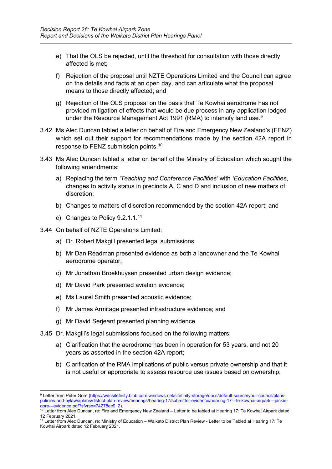- e) That the OLS be rejected, until the threshold for consultation with those directly affected is met;
- f) Rejection of the proposal until NZTE Operations Limited and the Council can agree on the details and facts at an open day, and can articulate what the proposal means to those directly affected; and
- g) Rejection of the OLS proposal on the basis that Te Kowhai aerodrome has not provided mitigation of effects that would be due process in any application lodged under the Resource Management Act 1[9](#page-11-0)91 (RMA) to intensify land use. $^{\textrm{\textregistered}}$
- 3.42 Ms Alec Duncan tabled a letter on behalf of Fire and Emergency New Zealand's (FENZ) which set out their support for recommendations made by the section 42A report in response to FENZ submission points. [10](#page-11-1)
- 3.43 Ms Alec Duncan tabled a letter on behalf of the Ministry of Education which sought the following amendments:
	- a) Replacing the term *'Teaching and Conference Facilities'* with *'Education Facilities*, changes to activity status in precincts A, C and D and inclusion of new matters of discretion;
	- b) Changes to matters of discretion recommended by the section 42A report; and
	- c) Changes to Policy 9.2.1.1.<sup>[11](#page-11-2)</sup>
- 3.44 On behalf of NZTE Operations Limited:
	- a) Dr. Robert Makgill presented legal submissions;
	- b) Mr Dan Readman presented evidence as both a landowner and the Te Kowhai aerodrome operator;
	- c) Mr Jonathan Broekhuysen presented urban design evidence;
	- d) Mr David Park presented aviation evidence;
	- e) Ms Laurel Smith presented acoustic evidence;
	- f) Mr James Armitage presented infrastructure evidence; and
	- g) Mr David Serjeant presented planning evidence.
- 3.45 Dr. Makgill's legal submissions focused on the following matters:
	- a) Clarification that the aerodrome has been in operation for 53 years, and not 20 years as asserted in the section 42A report;
	- b) Clarification of the RMA implications of public versus private ownership and that it is not useful or appropriate to assess resource use issues based on ownership;

<span id="page-11-0"></span><sup>9</sup> Letter from Peter Gore [\(https://wdcsitefinity.blob.core.windows.net/sitefinity-storage/docs/default-source/your-council/plans](https://wdcsitefinity.blob.core.windows.net/sitefinity-storage/docs/default-source/your-council/plans-policies-and-bylaws/plans/district-plan-review/hearings/hearing-17/submitter-evidence/hearing-17---te-kowhai-airpark---jackie-gore---evidence.pdf?sfvrsn=74278ec9_2)[policies-and-bylaws/plans/district-plan-review/hearings/hearing-17/submitter-evidence/hearing-17---te-kowhai-airpark---jackie](https://wdcsitefinity.blob.core.windows.net/sitefinity-storage/docs/default-source/your-council/plans-policies-and-bylaws/plans/district-plan-review/hearings/hearing-17/submitter-evidence/hearing-17---te-kowhai-airpark---jackie-gore---evidence.pdf?sfvrsn=74278ec9_2)[gore---evidence.pdf?sfvrsn=74278ec9\\_2\)](https://wdcsitefinity.blob.core.windows.net/sitefinity-storage/docs/default-source/your-council/plans-policies-and-bylaws/plans/district-plan-review/hearings/hearing-17/submitter-evidence/hearing-17---te-kowhai-airpark---jackie-gore---evidence.pdf?sfvrsn=74278ec9_2).

<span id="page-11-1"></span><sup>&</sup>lt;sup>10</sup> Letter from Alec Duncan, re: Fire and Emergency New Zealand – Letter to be tabled at Hearing 17: Te Kowhai Airpark dated 12 February 2021.

<span id="page-11-2"></span><sup>11</sup> Letter from Alec Duncan, re: Ministry of Education – Waikato District Plan Review - Letter to be Tabled at Hearing 17: Te Kowhai Airpark dated 12 February 2021.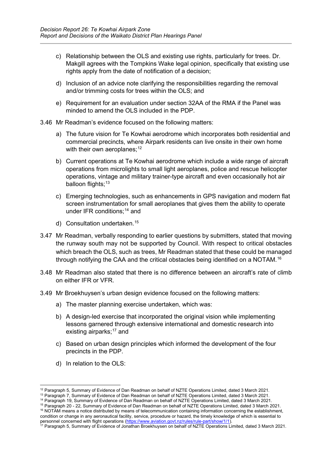- c) Relationship between the OLS and existing use rights, particularly for trees. Dr. Makgill agrees with the Tompkins Wake legal opinion, specifically that existing use rights apply from the date of notification of a decision;
- d) Inclusion of an advice note clarifying the responsibilities regarding the removal and/or trimming costs for trees within the OLS; and
- e) Requirement for an evaluation under section 32AA of the RMA if the Panel was minded to amend the OLS included in the PDP.
- 3.46 Mr Readman's evidence focused on the following matters:
	- a) The future vision for Te Kowhai aerodrome which incorporates both residential and commercial precincts, where Airpark residents can live onsite in their own home with their own aeroplanes;<sup>[12](#page-12-0)</sup>
	- b) Current operations at Te Kowhai aerodrome which include a wide range of aircraft operations from microlights to small light aeroplanes, police and rescue helicopter operations, vintage and military trainer-type aircraft and even occasionally hot air balloon flights;<sup>[13](#page-12-1)</sup>
	- c) Emerging technologies, such as enhancements in GPS navigation and modern flat screen instrumentation for small aeroplanes that gives them the ability to operate under IFR conditions; [14](#page-12-2) and
	- d) Consultation undertaken. [15](#page-12-3)
- 3.47 Mr Readman, verbally responding to earlier questions by submitters, stated that moving the runway south may not be supported by Council. With respect to critical obstacles which breach the OLS, such as trees, Mr Readman stated that these could be managed through notifying the CAA and the critical obstacles being identified on a NOTAM. [16](#page-12-4)
- 3.48 Mr Readman also stated that there is no difference between an aircraft's rate of climb on either IFR or VFR.
- 3.49 Mr Broekhuysen's urban design evidence focused on the following matters:
	- a) The master planning exercise undertaken, which was:
	- b) A design-led exercise that incorporated the original vision while implementing lessons garnered through extensive international and domestic research into existing airparks;<sup>[17](#page-12-5)</sup> and
	- c) Based on urban design principles which informed the development of the four precincts in the PDP.
	- d) In relation to the OLS:

<sup>&</sup>lt;sup>12</sup> Paragraph 5, Summary of Evidence of Dan Readman on behalf of NZTE Operations Limited, dated 3 March 2021.

<span id="page-12-1"></span><span id="page-12-0"></span><sup>13</sup> Paragraph 7, Summary of Evidence of Dan Readman on behalf of NZTE Operations Limited, dated 3 March 2021.

<sup>14</sup> Paragraph 19, Summary of Evidence of Dan Readman on behalf of NZTE Operations Limited, dated 3 March 2021.

<span id="page-12-4"></span><span id="page-12-3"></span><span id="page-12-2"></span><sup>15</sup> Paragraph 20 - 22, Summary of Evidence of Dan Readman on behalf of NZTE Operations Limited, dated 3 March 2021.  $16$  NOTAM means a notice distributed by means of telecommunication containing information concerning the establishment, condition or change in any aeronautical facility, service, procedure or hazard, the timely knowledge of which is essential to

<span id="page-12-5"></span>personnel concerned with flight operations [\(https://www.aviation.govt.nz/rules/rule-part/show/1/1\)](https://www.aviation.govt.nz/rules/rule-part/show/1/1).  $^{17}$  Paragraph 5, Summary of Evidence of Jonathan Broekhuysen on behalf of NZTE Operations Limited, dated 3 March 2021.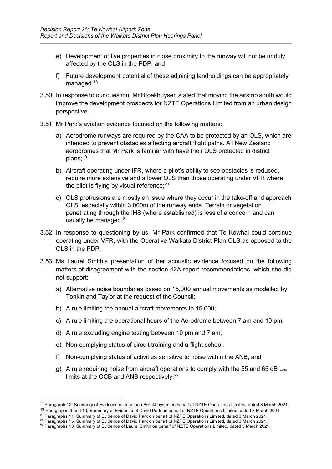- e) Development of five properties in close proximity to the runway will not be unduly affected by the OLS in the PDP; and
- f) Future development potential of these adjoining landholdings can be appropriately managed.<sup>[18](#page-13-0)</sup>
- 3.50 In response to our question, Mr Broekhuysen stated that moving the airstrip south would improve the development prospects for NZTE Operations Limited from an urban design perspective.
- 3.51 Mr Park's aviation evidence focused on the following matters:
	- a) Aerodrome runways are required by the CAA to be protected by an OLS, which are intended to prevent obstacles affecting aircraft flight paths. All New Zealand aerodromes that Mr Park is familiar with have their OLS protected in district plans;<sup>[19](#page-13-1)</sup>
	- b) Aircraft operating under IFR, where a pilot's ability to see obstacles is reduced, require more extensive and a lower OLS than those operating under VFR where the pilot is flying by visual reference; $^{\rm 20}$  $^{\rm 20}$  $^{\rm 20}$
	- c) OLS protrusions are mostly an issue where they occur in the take-off and approach OLS, especially within 3,000m of the runway ends. Terrain or vegetation penetrating through the IHS (where established) is less of a concern and can usually be managed.<sup>[21](#page-13-3)</sup>
- 3.52 In response to questioning by us, Mr Park confirmed that Te Kowhai could continue operating under VFR, with the Operative Waikato District Plan OLS as opposed to the OLS in the PDP.
- 3.53 Ms Laurel Smith's presentation of her acoustic evidence focused on the following matters of disagreement with the section 42A report recommendations, which she did not support:
	- a) Alternative noise boundaries based on 15,000 annual movements as modelled by Tonkin and Taylor at the request of the Council;
	- b) A rule limiting the annual aircraft movements to 15,000;
	- c) A rule limiting the operational hours of the Aerodrome between 7 am and 10 pm;
	- d) A rule excluding engine testing between 10 pm and 7 am;
	- e) Non-complying status of circuit training and a flight school;
	- f) Non-complying status of activities sensitive to noise within the ANB; and
	- g) A rule requiring noise from aircraft operations to comply with the 55 and 65 dB  $L_{dn}$ limits at the OCB and ANB respectively.<sup>[22](#page-13-4)</sup>

<span id="page-13-0"></span><sup>&</sup>lt;sup>18</sup> Paragraph 12, Summary of Evidence of Jonathan Broekhuysen on behalf of NZTE Operations Limited, dated 3 March 2021.

<sup>&</sup>lt;sup>19</sup> Paragraphs 9 and 10, Summary of Evidence of David Park on behalf of NZTE Operations Limited, dated 3 March 2021.

<span id="page-13-1"></span><sup>20</sup> Paragraphs 11, Summary of Evidence of David Park on behalf of NZTE Operations Limited, dated 3 March 2021.

<span id="page-13-3"></span><span id="page-13-2"></span><sup>&</sup>lt;sup>21</sup> Paragraphs 15, Summary of Evidence of David Park on behalf of NZTE Operations Limited, dated 3 March 2021.

<span id="page-13-4"></span><sup>&</sup>lt;sup>22</sup> Paragraphs 13, Summary of Evidence of Laurel Smith on behalf of NZTE Operations Limited, dated 3 March 2021.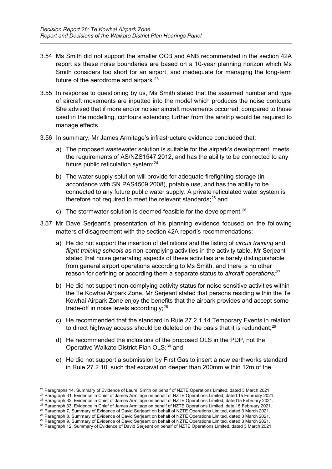- 3.54 Ms Smith did not support the smaller OCB and ANB recommended in the section 42A report as these noise boundaries are based on a 10-year planning horizon which Ms Smith considers too short for an airport, and inadequate for managing the long-term future of the aerodrome and airpark.<sup>[23](#page-14-0)</sup>
- 3.55 In response to questioning by us, Ms Smith stated that the assumed number and type of aircraft movements are inputted into the model which produces the noise contours. She advised that if more and/or noisier aircraft movements occurred, compared to those used in the modelling, contours extending further from the airstrip would be required to manage effects.
- 3.56 In summary, Mr James Armitage's infrastructure evidence concluded that:
	- a) The proposed wastewater solution is suitable for the airpark's development, meets the requirements of AS/NZS1547:2012, and has the ability to be connected to any future public reticulation system; [24](#page-14-1)
	- b) The water supply solution will provide for adequate firefighting storage (in accordance with SN PAS4509:2008), potable use, and has the ability to be connected to any future public water supply. A private reticulated water system is therefore not required to meet the relevant standards;<sup>[25](#page-14-2)</sup> and
	- c) The stormwater solution is deemed feasible for the development.<sup>[26](#page-14-3)</sup>
- 3.57 Mr Dave Serjeant's presentation of his planning evidence focused on the following matters of disagreement with the section 42A report's recommendations:
	- a) He did not support the insertion of definitions and the listing of *circuit training* and *flight training schools* as non-complying activities in the activity table. Mr Serjeant stated that noise generating aspects of these activities are barely distinguishable from general airport operations according to Ms Smith, and there is no other reason for defining or according them a separate status to *aircraft operations;* [27](#page-14-4)
	- b) He did not support non-complying activity status for noise sensitive activities within the Te Kowhai Airpark Zone. Mr Serjeant stated that persons residing within the Te Kowhai Airpark Zone enjoy the benefits that the airpark provides and accept some trade-off in noise levels accordingly;<sup>[28](#page-14-5)</sup>
	- c) He recommended that the standard in Rule 27.2.1.14 Temporary Events in relation to direct highway access should be deleted on the basis that it is redundant; $^{29}$  $^{29}$  $^{29}$
	- d) He recommended the inclusions of the proposed OLS in the PDP, not the Operative Waikato District Plan OLS; [30](#page-14-7) and
	- e) He did not support a submission by First Gas to insert a new earthworks standard in Rule 27.2.10, such that excavation deeper than 200mm within 12m of the

<span id="page-14-0"></span><sup>&</sup>lt;sup>23</sup> Paragraphs 14, Summary of Evidence of Laurel Smith on behalf of NZTE Operations Limited, dated 3 March 2021.

<span id="page-14-1"></span><sup>&</sup>lt;sup>24</sup> Paragraph 31, Evidence in Chief of James Armitage on behalf of NZTE Operations Limited, dated 15 February 2021.

<sup>25</sup> Paragraph 32, Evidence in Chief of James Armitage on behalf of NZTE Operations Limited, dated15 February 2021.

<span id="page-14-3"></span><span id="page-14-2"></span><sup>&</sup>lt;sup>26</sup> Paragraph 33, Evidence in Chief of James Armitage on behalf of NZTE Operations Limited, date 15 February 2021.

<sup>&</sup>lt;sup>27</sup> Paragraph 7, Summary of Evidence of David Serjeant on behalf of NZTE Operations Limited, dated 3 March 2021.

<span id="page-14-6"></span><span id="page-14-5"></span><span id="page-14-4"></span> $^{28}$  Paragraph 8, Summary of Evidence of David Serjeant on behalf of NZTE Operations Limited, dated 3 March 2021.  $^{29}$  Paragraph 9, Summary of Evidence of David Serjeant on behalf of NZTE Operations Limited, dated 3 March 2021.

<span id="page-14-7"></span><sup>30</sup> Paragraph 12, Summary of Evidence of David Serjeant on behalf of NZTE Operations Limited, dated 3 March 2021.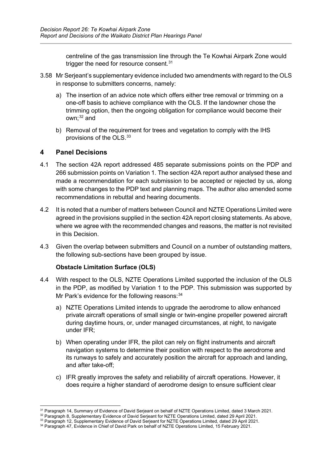centreline of the gas transmission line through the Te Kowhai Airpark Zone would trigger the need for resource consent.<sup>[31](#page-15-1)</sup>

- 3.58 Mr Serjeant's supplementary evidence included two amendments with regard to the OLS in response to submitters concerns, namely:
	- a) The insertion of an advice note which offers either tree removal or trimming on a one-off basis to achieve compliance with the OLS. If the landowner chose the trimming option, then the ongoing obligation for compliance would become their own; [32](#page-15-2) and
	- b) Removal of the requirement for trees and vegetation to comply with the IHS provisions of the OLS. $^{\rm 33}$  $^{\rm 33}$  $^{\rm 33}$

# <span id="page-15-0"></span>**4 Panel Decisions**

- 4.1 The section 42A report addressed 485 separate submissions points on the PDP and 266 submission points on Variation 1. The section 42A report author analysed these and made a recommendation for each submission to be accepted or rejected by us, along with some changes to the PDP text and planning maps. The author also amended some recommendations in rebuttal and hearing documents.
- 4.2 It is noted that a number of matters between Council and NZTE Operations Limited were agreed in the provisions supplied in the section 42A report closing statements. As above, where we agree with the recommended changes and reasons, the matter is not revisited in this Decision.
- 4.3 Given the overlap between submitters and Council on a number of outstanding matters, the following sub-sections have been grouped by issue.

# **Obstacle Limitation Surface (OLS)**

- 4.4 With respect to the OLS, NZTE Operations Limited supported the inclusion of the OLS in the PDP, as modified by Variation 1 to the PDP. This submission was supported by Mr Park's evidence for the following reasons: [34](#page-15-4)
	- a) NZTE Operations Limited intends to upgrade the aerodrome to allow enhanced private aircraft operations of small single or twin-engine propeller powered aircraft during daytime hours, or, under managed circumstances, at night, to navigate under IFR;
	- b) When operating under IFR, the pilot can rely on flight instruments and aircraft navigation systems to determine their position with respect to the aerodrome and its runways to safely and accurately position the aircraft for approach and landing, and after take-off;
	- c) IFR greatly improves the safety and reliability of aircraft operations. However, it does require a higher standard of aerodrome design to ensure sufficient clear

<span id="page-15-1"></span><sup>&</sup>lt;sup>31</sup> Paragraph 14, Summary of Evidence of David Serjeant on behalf of NZTE Operations Limited, dated 3 March 2021.

<sup>&</sup>lt;sup>32</sup> Paragraph 8, Supplementary Evidence of David Serjeant for NZTE Operations Limited, dated 29 April 2021.

<span id="page-15-4"></span><span id="page-15-3"></span><span id="page-15-2"></span><sup>33</sup> Paragraph 12, Supplementary Evidence of David Serjeant for NZTE Operations Limited, dated 29 April 2021.

<sup>34</sup> Paragraph 47, Evidence in Chief of David Park on behalf of NZTE Operations Limited, 15 February 2021.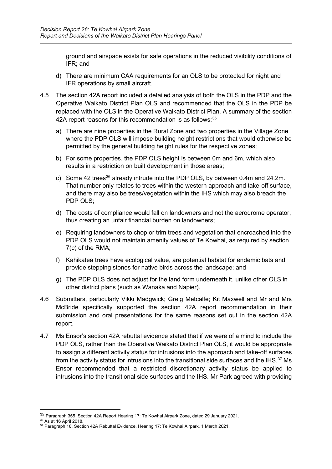ground and airspace exists for safe operations in the reduced visibility conditions of IFR; and

- d) There are minimum CAA requirements for an OLS to be protected for night and IFR operations by small aircraft.
- 4.5 The section 42A report included a detailed analysis of both the OLS in the PDP and the Operative Waikato District Plan OLS and recommended that the OLS in the PDP be replaced with the OLS in the Operative Waikato District Plan. A summary of the section 42A report reasons for this recommendation is as follows: $^{\rm 35}$  $^{\rm 35}$  $^{\rm 35}$ 
	- a) There are nine properties in the Rural Zone and two properties in the Village Zone where the PDP OLS will impose building height restrictions that would otherwise be permitted by the general building height rules for the respective zones;
	- b) For some properties, the PDP OLS height is between 0m and 6m, which also results in a restriction on built development in those areas;
	- c) Some 42 trees<sup>[36](#page-16-1)</sup> already intrude into the PDP OLS, by between 0.4m and 24.2m. That number only relates to trees within the western approach and take-off surface, and there may also be trees/vegetation within the IHS which may also breach the PDP OLS;
	- d) The costs of compliance would fall on landowners and not the aerodrome operator, thus creating an unfair financial burden on landowners;
	- e) Requiring landowners to chop or trim trees and vegetation that encroached into the PDP OLS would not maintain amenity values of Te Kowhai, as required by section 7(c) of the RMA;
	- f) Kahikatea trees have ecological value, are potential habitat for endemic bats and provide stepping stones for native birds across the landscape; and
	- g) The PDP OLS does not adjust for the land form underneath it, unlike other OLS in other district plans (such as Wanaka and Napier).
- 4.6 Submitters, particularly Vikki Madgwick; Greig Metcalfe; Kit Maxwell and Mr and Mrs McBride specifically supported the section 42A report recommendation in their submission and oral presentations for the same reasons set out in the section 42A report.
- 4.7 Ms Ensor's section 42A rebuttal evidence stated that if we were of a mind to include the PDP OLS, rather than the Operative Waikato District Plan OLS, it would be appropriate to assign a different activity status for intrusions into the approach and take-off surfaces from the activity status for intrusions into the transitional side surfaces and the IHS. $^{37}$  $^{37}$  $^{37}$  Ms Ensor recommended that a restricted discretionary activity status be applied to intrusions into the transitional side surfaces and the IHS. Mr Park agreed with providing

<span id="page-16-0"></span><sup>35</sup> Paragraph 355, Section 42A Report Hearing 17: Te Kowhai Airpark Zone, dated 29 January 2021.

<span id="page-16-1"></span> $36$  As at 16 April 2018.

<span id="page-16-2"></span><sup>&</sup>lt;sup>37</sup> Paragraph 18, Section 42A Rebuttal Evidence, Hearing 17: Te Kowhai Airpark, 1 March 2021.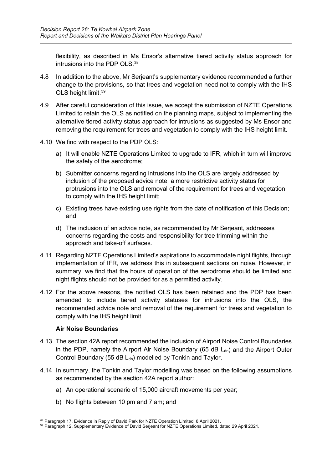flexibility, as described in Ms Ensor's alternative tiered activity status approach for intrusions into the PDP OLS. $^{38}$  $^{38}$  $^{38}$ 

- 4.8 In addition to the above, Mr Serjeant's supplementary evidence recommended a further change to the provisions, so that trees and vegetation need not to comply with the IHS OLS height limit. [39](#page-17-1)
- 4.9 After careful consideration of this issue, we accept the submission of NZTE Operations Limited to retain the OLS as notified on the planning maps, subject to implementing the alternative tiered activity status approach for intrusions as suggested by Ms Ensor and removing the requirement for trees and vegetation to comply with the IHS height limit.
- 4.10 We find with respect to the PDP OLS:
	- a) It will enable NZTE Operations Limited to upgrade to IFR, which in turn will improve the safety of the aerodrome;
	- b) Submitter concerns regarding intrusions into the OLS are largely addressed by inclusion of the proposed advice note, a more restrictive activity status for protrusions into the OLS and removal of the requirement for trees and vegetation to comply with the IHS height limit;
	- c) Existing trees have existing use rights from the date of notification of this Decision; and
	- d) The inclusion of an advice note, as recommended by Mr Serjeant, addresses concerns regarding the costs and responsibility for tree trimming within the approach and take-off surfaces.
- 4.11 Regarding NZTE Operations Limited's aspirations to accommodate night flights, through implementation of IFR, we address this in subsequent sections on noise. However, in summary, we find that the hours of operation of the aerodrome should be limited and night flights should not be provided for as a permitted activity.
- 4.12 For the above reasons, the notified OLS has been retained and the PDP has been amended to include tiered activity statuses for intrusions into the OLS, the recommended advice note and removal of the requirement for trees and vegetation to comply with the IHS height limit.

# **Air Noise Boundaries**

- 4.13 The section 42A report recommended the inclusion of Airport Noise Control Boundaries in the PDP, namely the Airport Air Noise Boundary (65 dB  $L_{dn}$ ) and the Airport Outer Control Boundary (55 dB  $L_{dn}$ ) modelled by Tonkin and Taylor.
- 4.14 In summary, the Tonkin and Taylor modelling was based on the following assumptions as recommended by the section 42A report author:
	- a) An operational scenario of 15,000 aircraft movements per year;
	- b) No flights between 10 pm and 7 am; and

<span id="page-17-0"></span><sup>&</sup>lt;sup>38</sup> Paragraph 17, Evidence in Reply of David Park for NZTE Operation Limited, 8 April 2021.

<span id="page-17-1"></span><sup>&</sup>lt;sup>39</sup> Paragraph 12, Supplementary Evidence of David Serjeant for NZTE Operations Limited, dated 29 April 2021.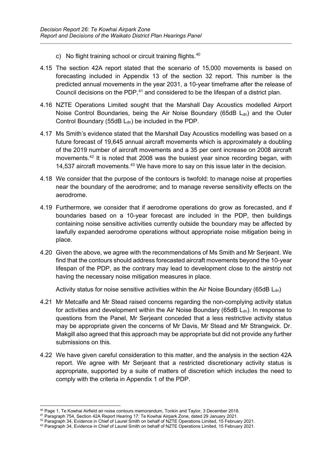- c) No flight training school or circuit training flights.<sup>[40](#page-18-0)</sup>
- 4.15 The section 42A report stated that the scenario of 15,000 movements is based on forecasting included in Appendix 13 of the section 32 report. This number is the predicted annual movements in the year 2031, a 10-year timeframe after the release of Council decisions on the PDP, $^{41}$  $^{41}$  $^{41}$  and considered to be the lifespan of a district plan.
- 4.16 NZTE Operations Limited sought that the Marshall Day Acoustics modelled Airport Noise Control Boundaries, being the Air Noise Boundary (65dB  $L<sub>dn</sub>$ ) and the Outer Control Boundary (55dB  $L_{dn}$ ) be included in the PDP.
- 4.17 Ms Smith's evidence stated that the Marshall Day Acoustics modelling was based on a future forecast of 19,645 annual aircraft movements which is approximately a doubling of the 2019 number of aircraft movements and a 35 per cent increase on 2008 aircraft movements. [42](#page-18-2) It is noted that 2008 was the busiest year since recording began, with 14,537 aircraft movements.<sup>[43](#page-18-3)</sup> We have more to say on this issue later in the decision.
- 4.18 We consider that the purpose of the contours is twofold: to manage noise at properties near the boundary of the aerodrome; and to manage reverse sensitivity effects on the aerodrome.
- 4.19 Furthermore, we consider that if aerodrome operations do grow as forecasted, and if boundaries based on a 10-year forecast are included in the PDP, then buildings containing noise sensitive activities currently outside the boundary may be affected by lawfully expanded aerodrome operations without appropriate noise mitigation being in place.
- 4.20 Given the above, we agree with the recommendations of Ms Smith and Mr Serjeant. We find that the contours should address forecasted aircraft movements beyond the 10-year lifespan of the PDP, as the contrary may lead to development close to the airstrip not having the necessary noise mitigation measures in place.

Activity status for noise sensitive activities within the Air Noise Boundary (65dB  $L_{dn}$ )

- 4.21 Mr Metcalfe and Mr Stead raised concerns regarding the non-complying activity status for activities and development within the Air Noise Boundary (65dB  $L<sub>dn</sub>$ ). In response to questions from the Panel, Mr Serjeant conceded that a less restrictive activity status may be appropriate given the concerns of Mr Davis, Mr Stead and Mr Strangwick. Dr. Makgill also agreed that this approach may be appropriate but did not provide any further submissions on this.
- 4.22 We have given careful consideration to this matter, and the analysis in the section 42A report. We agree with Mr Serjeant that a restricted discretionary activity status is appropriate, supported by a suite of matters of discretion which includes the need to comply with the criteria in Appendix 1 of the PDP.

<span id="page-18-0"></span><sup>40</sup> Page 1, Te Kowhai Airfield air noise contours memorandum, Tonkin and Taylor, 3 December 2018.

<span id="page-18-1"></span><sup>41</sup> Paragraph 754, Section 42A Report Hearing 17: Te Kowhai Airpark Zone, dated 29 January 2021.

<span id="page-18-2"></span><sup>42</sup> Paragraph 34, Evidence in Chief of Laurel Smith on behalf of NZTE Operations Limited, 15 February 2021.

<span id="page-18-3"></span><sup>43</sup> Paragraph 34, Evidence in Chief of Laurel Smith on behalf of NZTE Operations Limited, 15 February 2021.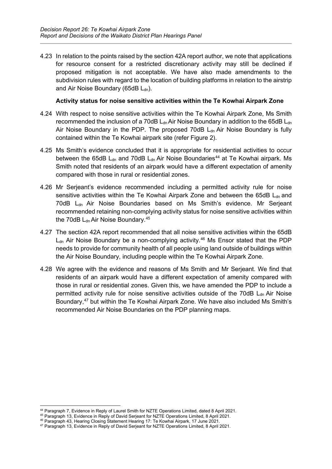4.23 In relation to the points raised by the section 42A report author, we note that applications for resource consent for a restricted discretionary activity may still be declined if proposed mitigation is not acceptable. We have also made amendments to the subdivision rules with regard to the location of building platforms in relation to the airstrip and Air Noise Boundary (65dB  $L<sub>dn</sub>$ ).

#### **Activity status for noise sensitive activities within the Te Kowhai Airpark Zone**

- 4.24 With respect to noise sensitive activities within the Te Kowhai Airpark Zone, Ms Smith recommended the inclusion of a 70dB  $L<sub>dn</sub>$  Air Noise Boundary in addition to the 65dB  $L<sub>dn</sub>$ Air Noise Boundary in the PDP. The proposed 70dB  $L<sub>dn</sub>$  Air Noise Boundary is fully contained within the Te Kowhai airpark site (refer Figure 2).
- 4.25 Ms Smith's evidence concluded that it is appropriate for residential activities to occur between the 65dB  $L_{dn}$  and 70dB  $L_{dn}$  Air Noise Boundaries<sup>[44](#page-19-0)</sup> at Te Kowhai airpark. Ms Smith noted that residents of an airpark would have a different expectation of amenity compared with those in rural or residential zones.
- 4.26 Mr Serjeant's evidence recommended including a permitted activity rule for noise sensitive activities within the Te Kowhai Airpark Zone and between the 65dB  $L<sub>dn</sub>$  and 70dB L<sub>dn</sub> Air Noise Boundaries based on Ms Smith's evidence. Mr Serjeant recommended retaining non-complying activity status for noise sensitive activities within the 70dB  $\mathsf{L}_{\mathsf{dn}}$ Air Noise Boundary. $^{45}$  $^{45}$  $^{45}$
- 4.27 The section 42A report recommended that all noise sensitive activities within the 65dB  $L_{dn}$  Air Noise Boundary be a non-complying activity.<sup>[46](#page-19-2)</sup> Ms Ensor stated that the PDP needs to provide for community health of all people using land outside of buildings within the Air Noise Boundary, including people within the Te Kowhai Airpark Zone.
- 4.28 We agree with the evidence and reasons of Ms Smith and Mr Serjeant. We find that residents of an airpark would have a different expectation of amenity compared with those in rural or residential zones. Given this, we have amended the PDP to include a permitted activity rule for noise sensitive activities outside of the 70dB  $L_{dn}$  Air Noise Boundary, [47](#page-19-3) but within the Te Kowhai Airpark Zone. We have also included Ms Smith's recommended Air Noise Boundaries on the PDP planning maps.

<span id="page-19-0"></span><sup>44</sup> Paragraph 7, Evidence in Reply of Laurel Smith for NZTE Operations Limited, dated 8 April 2021.

<span id="page-19-1"></span><sup>45</sup> Paragraph 13, Evidence in Reply of David Serjeant for NZTE Operations Limited, 8 April 2021.

<span id="page-19-2"></span><sup>46</sup> Paragraph 43, Hearing Closing Statement Hearing 17: Te Kowhai Airpark, 17 June 2021.

<span id="page-19-3"></span><sup>47</sup> Paragraph 13, Evidence in Reply of David Serjeant for NZTE Operations Limited, 8 April 2021.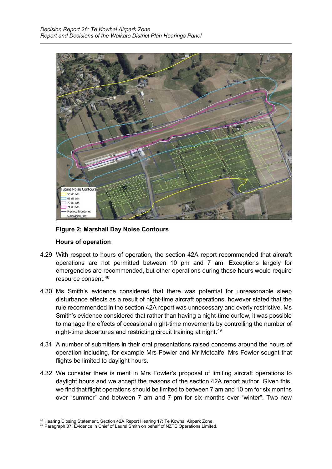

# **Figure 2: Marshall Day Noise Contours**

# **Hours of operation**

- 4.29 With respect to hours of operation, the section 42A report recommended that aircraft operations are not permitted between 10 pm and 7 am. Exceptions largely for emergencies are recommended, but other operations during those hours would require resource consent.[48](#page-20-0)
- 4.30 Ms Smith's evidence considered that there was potential for unreasonable sleep disturbance effects as a result of night-time aircraft operations, however stated that the rule recommended in the section 42A report was unnecessary and overly restrictive. Ms Smith's evidence considered that rather than having a night-time curfew, it was possible to manage the effects of occasional night-time movements by controlling the number of night-time departures and restricting circuit training at night. [49](#page-20-1)
- 4.31 A number of submitters in their oral presentations raised concerns around the hours of operation including, for example Mrs Fowler and Mr Metcalfe. Mrs Fowler sought that flights be limited to daylight hours.
- 4.32 We consider there is merit in Mrs Fowler's proposal of limiting aircraft operations to daylight hours and we accept the reasons of the section 42A report author. Given this, we find that flight operations should be limited to between 7 am and 10 pm for six months over "summer" and between 7 am and 7 pm for six months over "winter". Two new

<span id="page-20-1"></span><span id="page-20-0"></span><sup>&</sup>lt;sup>48</sup> Hearing Closing Statement, Section 42A Report Hearing 17: Te Kowhai Airpark Zone.<br><sup>49</sup> Paragraph 87, Evidence in Chief of Laurel Smith on behalf of NZTE Operations Limited.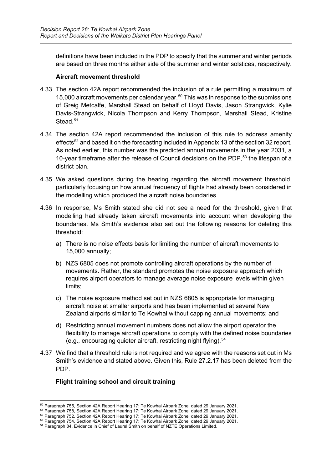definitions have been included in the PDP to specify that the summer and winter periods are based on three months either side of the summer and winter solstices, respectively.

#### **Aircraft movement threshold**

- 4.33 The section 42A report recommended the inclusion of a rule permitting a maximum of 15,000 aircraft movements per calendar year.<sup>[50](#page-21-0)</sup> This was in response to the submissions of Greig Metcalfe, Marshall Stead on behalf of Lloyd Davis, Jason Strangwick, Kylie Davis-Strangwick, Nicola Thompson and Kerry Thompson, Marshall Stead, Kristine Stead<sup>[51](#page-21-1)</sup>
- 4.34 The section 42A report recommended the inclusion of this rule to address amenity effects<sup>[52](#page-21-2)</sup> and based it on the forecasting included in Appendix 13 of the section 32 report. As noted earlier, this number was the predicted annual movements in the year 2031, a 10-year timeframe after the release of Council decisions on the PDP, [53](#page-21-3) the lifespan of a district plan.
- 4.35 We asked questions during the hearing regarding the aircraft movement threshold, particularly focusing on how annual frequency of flights had already been considered in the modelling which produced the aircraft noise boundaries.
- 4.36 In response, Ms Smith stated she did not see a need for the threshold, given that modelling had already taken aircraft movements into account when developing the boundaries. Ms Smith's evidence also set out the following reasons for deleting this threshold:
	- a) There is no noise effects basis for limiting the number of aircraft movements to 15,000 annually;
	- b) NZS 6805 does not promote controlling aircraft operations by the number of movements. Rather, the standard promotes the noise exposure approach which requires airport operators to manage average noise exposure levels within given limits;
	- c) The noise exposure method set out in NZS 6805 is appropriate for managing aircraft noise at smaller airports and has been implemented at several New Zealand airports similar to Te Kowhai without capping annual movements; and
	- d) Restricting annual movement numbers does not allow the airport operator the flexibility to manage aircraft operations to comply with the defined noise boundaries (e.g., encouraging quieter aircraft, restricting night flying).<sup>[54](#page-21-4)</sup>
- 4.37 We find that a threshold rule is not required and we agree with the reasons set out in Ms Smith's evidence and stated above. Given this, Rule 27.2.17 has been deleted from the PDP.

# **Flight training school and circuit training**

<span id="page-21-0"></span><sup>&</sup>lt;sup>50</sup> Paragraph 755, Section 42A Report Hearing 17: Te Kowhai Airpark Zone, dated 29 January 2021.

<span id="page-21-1"></span><sup>51</sup> Paragraph 758, Section 42A Report Hearing 17: Te Kowhai Airpark Zone, dated 29 January 2021.

<span id="page-21-2"></span> $^{52}$  Paragraph 752, Section 42A Report Hearing 17: Te Kowhai Airpark Zone, dated 29 January 2021.

<span id="page-21-3"></span> $^{53}$  Paragraph 754, Section 42A Report Hearing 17: Te Kowhai Airpark Zone, dated 29 January 2021.

<span id="page-21-4"></span><sup>54</sup> Paragraph 84, Evidence in Chief of Laurel Smith on behalf of NZTE Operations Limited.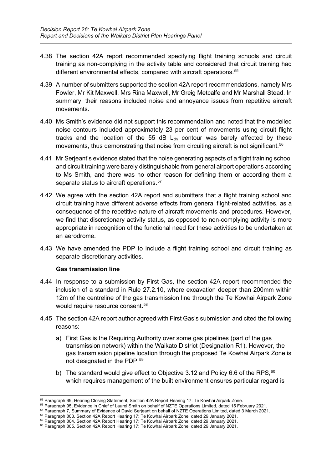- 4.38 The section 42A report recommended specifying flight training schools and circuit training as non-complying in the activity table and considered that circuit training had different environmental effects, compared with aircraft operations.<sup>[55](#page-22-0)</sup>
- 4.39 A number of submitters supported the section 42A report recommendations, namely Mrs Fowler, Mr Kit Maxwell, Mrs Rina Maxwell, Mr Greig Metcalfe and Mr Marshall Stead. In summary, their reasons included noise and annoyance issues from repetitive aircraft movements.
- 4.40 Ms Smith's evidence did not support this recommendation and noted that the modelled noise contours included approximately 23 per cent of movements using circuit flight tracks and the location of the 55 dB  $L_{dn}$  contour was barely affected by these movements, thus demonstrating that noise from circuiting aircraft is not significant.<sup>[56](#page-22-1)</sup>
- 4.41 Mr Serjeant's evidence stated that the noise generating aspects of a flight training school and circuit training were barely distinguishable from general airport operations according to Ms Smith, and there was no other reason for defining them or according them a separate status to aircraft operations.<sup>57</sup>
- 4.42 We agree with the section 42A report and submitters that a flight training school and circuit training have different adverse effects from general flight-related activities, as a consequence of the repetitive nature of aircraft movements and procedures. However, we find that discretionary activity status, as opposed to non-complying activity is more appropriate in recognition of the functional need for these activities to be undertaken at an aerodrome.
- 4.43 We have amended the PDP to include a flight training school and circuit training as separate discretionary activities.

#### **Gas transmission line**

- 4.44 In response to a submission by First Gas, the section 42A report recommended the inclusion of a standard in Rule 27.2.10, where excavation deeper than 200mm within 12m of the centreline of the gas transmission line through the Te Kowhai Airpark Zone would require resource consent.<sup>[58](#page-22-3)</sup>
- 4.45 The section 42A report author agreed with First Gas's submission and cited the following reasons:
	- a) First Gas is the Requiring Authority over some gas pipelines (part of the gas transmission network) within the Waikato District (Designation R1). However, the gas transmission pipeline location through the proposed Te Kowhai Airpark Zone is not designated in the PDP:<sup>[59](#page-22-4)</sup>
	- b) The standard would give effect to Objective 3.12 and Policy 6.6 of the RPS,  $60$ which requires management of the built environment ensures particular regard is

<span id="page-22-0"></span><sup>55</sup> Paragraph 69, Hearing Closing Statement, Section 42A Report Hearing 17: Te Kowhai Airpark Zone.

<span id="page-22-1"></span><sup>56</sup> Paragraph 95, Evidence in Chief of Laurel Smith on behalf of NZTE Operations Limited, dated 15 February 2021.

<span id="page-22-2"></span><sup>&</sup>lt;sup>57</sup> Paragraph 7, Summary of Evidence of David Serjeant on behalf of NZTE Operations Limited, dated 3 March 2021.

 $^\mathrm{58}$  Paragraph 803, Section 42A Report Hearing 17: Te Kowhai Airpark Zone, dated 29 January 2021.

<span id="page-22-4"></span><span id="page-22-3"></span> $^{59}$  Paragraph 804, Section 42A Report Hearing 17: Te Kowhai Airpark Zone, dated 29 January 2021.

<span id="page-22-5"></span><sup>&</sup>lt;sup>60</sup> Paragraph 805, Section 42A Report Hearing 17: Te Kowhai Airpark Zone, dated 29 January 2021.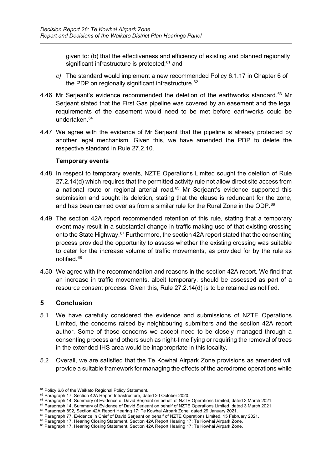given to: (b) that the effectiveness and efficiency of existing and planned regionally significant infrastructure is protected; [61](#page-23-1) and

- *c)* The standard would implement a new recommended Policy 6.1.17 in Chapter 6 of the PDP on regionally significant infrastructure. [62](#page-23-2)
- 4.46 Mr Serjeant's evidence recommended the deletion of the earthworks standard.<sup>[63](#page-23-3)</sup> Mr Serjeant stated that the First Gas pipeline was covered by an easement and the legal requirements of the easement would need to be met before earthworks could be undertaken. [64](#page-23-4)
- 4.47 We agree with the evidence of Mr Serjeant that the pipeline is already protected by another legal mechanism. Given this, we have amended the PDP to delete the respective standard in Rule 27.2.10.

#### **Temporary events**

- 4.48 In respect to temporary events, NZTE Operations Limited sought the deletion of Rule 27.2.14(d) which requires that the permitted activity rule not allow direct site access from a national route or regional arterial road. [65](#page-23-5) Mr Serjeant's evidence supported this submission and sought its deletion, stating that the clause is redundant for the zone, and has been carried over as from a similar rule for the Rural Zone in the ODP. [66](#page-23-6)
- 4.49 The section 42A report recommended retention of this rule, stating that a temporary event may result in a substantial change in traffic making use of that existing crossing onto the State Highway.<sup>[67](#page-23-7)</sup> Furthermore, the section 42A report stated that the consenting process provided the opportunity to assess whether the existing crossing was suitable to cater for the increase volume of traffic movements, as provided for by the rule as notified. [68](#page-23-8)
- 4.50 We agree with the recommendation and reasons in the section 42A report. We find that an increase in traffic movements, albeit temporary, should be assessed as part of a resource consent process. Given this, Rule 27.2.14(d) is to be retained as notified.

# <span id="page-23-0"></span>**5 Conclusion**

- 5.1 We have carefully considered the evidence and submissions of NZTE Operations Limited, the concerns raised by neighbouring submitters and the section 42A report author. Some of those concerns we accept need to be closely managed through a consenting process and others such as night-time flying or requiring the removal of trees in the extended IHS area would be inappropriate in this locality.
- 5.2 Overall, we are satisfied that the Te Kowhai Airpark Zone provisions as amended will provide a suitable framework for managing the effects of the aerodrome operations while

<span id="page-23-1"></span><sup>&</sup>lt;sup>61</sup> Policy 6.6 of the Waikato Regional Policy Statement.

<span id="page-23-2"></span><sup>&</sup>lt;sup>62</sup> Paragraph 17, Section 42A Report Infrastructure, dated 20 October 2020.

<span id="page-23-3"></span><sup>&</sup>lt;sup>63</sup> Paragraph 14, Summary of Evidence of David Serieant on behalf of NZTE Operations Limited, dated 3 March 2021.

<span id="page-23-4"></span><sup>&</sup>lt;sup>64</sup> Paragraph 14, Summary of Evidence of David Serjeant on behalf of NZTE Operations Limited, dated 3 March 2021.

<span id="page-23-5"></span><sup>&</sup>lt;sup>65</sup> Paragraph 892, Section 42A Report Hearing 17: Te Kowhai Airpark Zone, dated 29 January 2021.

<sup>&</sup>lt;sup>66</sup> Paragraph 77, Evidence in Chief of David Serjeant on behalf of NZTE Operations Limited, 15 February 2021.

<span id="page-23-7"></span><span id="page-23-6"></span><sup>&</sup>lt;sup>67</sup> Paragraph 17, Hearing Closing Statement, Section 42A Report Hearing 17: Te Kowhai Airpark Zone.

<span id="page-23-8"></span><sup>68</sup> Paragraph 17, Hearing Closing Statement, Section 42A Report Hearing 17: Te Kowhai Airpark Zone.